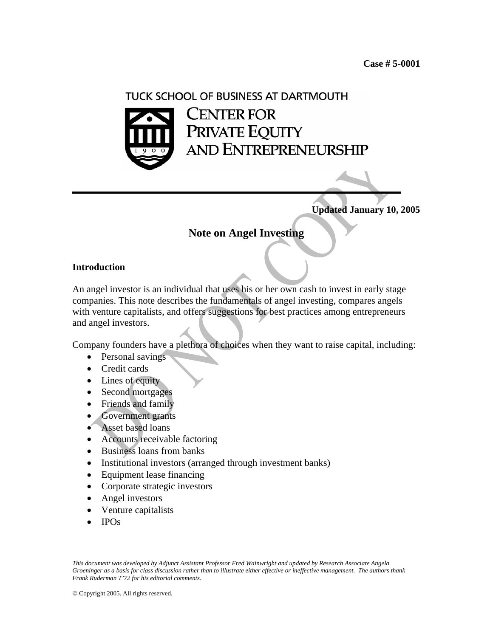# TUCK SCHOOL OF BUSINESS AT DARTMOUTH **CENTER FOR** PRIVATE EQUITY AND ENTREPRENEURSHIP

**Updated January 10, 2005** 

# **Note on Angel Investing**

#### **Introduction**

An angel investor is an individual that uses his or her own cash to invest in early stage companies. This note describes the fundamentals of angel investing, compares angels with venture capitalists, and offers suggestions for best practices among entrepreneurs and angel investors.

Company founders have a plethora of choices when they want to raise capital, including:

- Personal savings
- Credit cards
- Lines of equity
- Second mortgages
- Friends and family
- Government grants
- Asset based loans
- Accounts receivable factoring
- Business loans from banks
- Institutional investors (arranged through investment banks)
- Equipment lease financing
- Corporate strategic investors
- Angel investors
- Venture capitalists
- IPOs

© Copyright 2005. All rights reserved.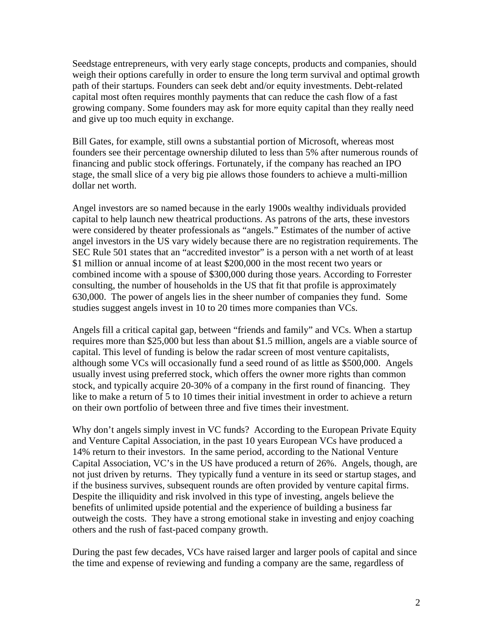Seedstage entrepreneurs, with very early stage concepts, products and companies, should weigh their options carefully in order to ensure the long term survival and optimal growth path of their startups. Founders can seek debt and/or equity investments. Debt-related capital most often requires monthly payments that can reduce the cash flow of a fast growing company. Some founders may ask for more equity capital than they really need and give up too much equity in exchange.

Bill Gates, for example, still owns a substantial portion of Microsoft, whereas most founders see their percentage ownership diluted to less than 5% after numerous rounds of financing and public stock offerings. Fortunately, if the company has reached an IPO stage, the small slice of a very big pie allows those founders to achieve a multi-million dollar net worth.

Angel investors are so named because in the early 1900s wealthy individuals provided capital to help launch new theatrical productions. As patrons of the arts, these investors were considered by theater professionals as "angels." Estimates of the number of active angel investors in the US vary widely because there are no registration requirements. The SEC Rule 501 states that an "accredited investor" is a person with a net worth of at least \$1 million or annual income of at least \$200,000 in the most recent two years or combined income with a spouse of \$300,000 during those years. According to Forrester consulting, the number of households in the US that fit that profile is approximately 630,000. The power of angels lies in the sheer number of companies they fund. Some studies suggest angels invest in 10 to 20 times more companies than VCs.

Angels fill a critical capital gap, between "friends and family" and VCs. When a startup requires more than \$25,000 but less than about \$1.5 million, angels are a viable source of capital. This level of funding is below the radar screen of most venture capitalists, although some VCs will occasionally fund a seed round of as little as \$500,000. Angels usually invest using preferred stock, which offers the owner more rights than common stock, and typically acquire 20-30% of a company in the first round of financing. They like to make a return of 5 to 10 times their initial investment in order to achieve a return on their own portfolio of between three and five times their investment.

Why don't angels simply invest in VC funds? According to the European Private Equity and Venture Capital Association, in the past 10 years European VCs have produced a 14% return to their investors. In the same period, according to the National Venture Capital Association, VC's in the US have produced a return of 26%. Angels, though, are not just driven by returns. They typically fund a venture in its seed or startup stages, and if the business survives, subsequent rounds are often provided by venture capital firms. Despite the illiquidity and risk involved in this type of investing, angels believe the benefits of unlimited upside potential and the experience of building a business far outweigh the costs. They have a strong emotional stake in investing and enjoy coaching others and the rush of fast-paced company growth.

During the past few decades, VCs have raised larger and larger pools of capital and since the time and expense of reviewing and funding a company are the same, regardless of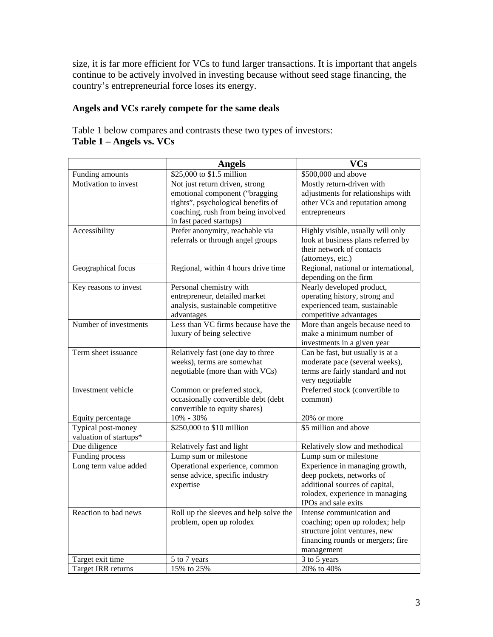size, it is far more efficient for VCs to fund larger transactions. It is important that angels continue to be actively involved in investing because without seed stage financing, the country's entrepreneurial force loses its energy.

# **Angels and VCs rarely compete for the same deals**

Table 1 below compares and contrasts these two types of investors: **Table 1 – Angels vs. VCs** 

|                        | <b>Angels</b>                          | <b>VCs</b>                                                    |
|------------------------|----------------------------------------|---------------------------------------------------------------|
| Funding amounts        | \$25,000 to \$1.5 million              | \$500,000 and above                                           |
| Motivation to invest   | Not just return driven, strong         | Mostly return-driven with                                     |
|                        | emotional component ("bragging         | adjustments for relationships with                            |
|                        | rights", psychological benefits of     | other VCs and reputation among                                |
|                        | coaching, rush from being involved     | entrepreneurs                                                 |
|                        | in fast paced startups)                |                                                               |
| Accessibility          | Prefer anonymity, reachable via        | Highly visible, usually will only                             |
|                        | referrals or through angel groups      | look at business plans referred by                            |
|                        |                                        | their network of contacts                                     |
|                        |                                        | (attorneys, etc.)                                             |
| Geographical focus     | Regional, within 4 hours drive time    | Regional, national or international,<br>depending on the firm |
| Key reasons to invest  | Personal chemistry with                | Nearly developed product,                                     |
|                        | entrepreneur, detailed market          | operating history, strong and                                 |
|                        | analysis, sustainable competitive      | experienced team, sustainable                                 |
|                        | advantages                             | competitive advantages                                        |
| Number of investments  | Less than VC firms because have the    | More than angels because need to                              |
|                        | luxury of being selective              | make a minimum number of                                      |
|                        |                                        | investments in a given year                                   |
| Term sheet issuance    | Relatively fast (one day to three      | Can be fast, but usually is at a                              |
|                        | weeks), terms are somewhat             | moderate pace (several weeks),                                |
|                        | negotiable (more than with VCs)        | terms are fairly standard and not<br>very negotiable          |
| Investment vehicle     | Common or preferred stock,             | Preferred stock (convertible to                               |
|                        | occasionally convertible debt (debt    | common)                                                       |
|                        | convertible to equity shares)          |                                                               |
| Equity percentage      | 10% - 30%                              | 20% or more                                                   |
| Typical post-money     | \$250,000 to \$10 million              | \$5 million and above                                         |
| valuation of startups* |                                        |                                                               |
| Due diligence          | Relatively fast and light              | Relatively slow and methodical                                |
| Funding process        | Lump sum or milestone                  | Lump sum or milestone                                         |
| Long term value added  | Operational experience, common         | Experience in managing growth,                                |
|                        | sense advice, specific industry        | deep pockets, networks of                                     |
|                        | expertise                              | additional sources of capital,                                |
|                        |                                        | rolodex, experience in managing                               |
|                        |                                        | IPOs and sale exits                                           |
| Reaction to bad news   | Roll up the sleeves and help solve the | Intense communication and                                     |
|                        | problem, open up rolodex               | coaching; open up rolodex; help                               |
|                        |                                        | structure joint ventures, new                                 |
|                        |                                        | financing rounds or mergers; fire                             |
|                        |                                        | management                                                    |
| Target exit time       | 3 to 5 years<br>5 to 7 years           |                                                               |
| Target IRR returns     | 15% to 25%                             | 20% to 40%                                                    |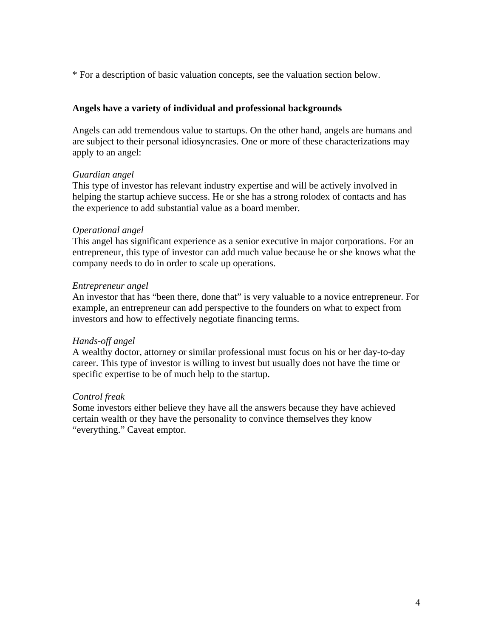\* For a description of basic valuation concepts, see the valuation section below.

### **Angels have a variety of individual and professional backgrounds**

Angels can add tremendous value to startups. On the other hand, angels are humans and are subject to their personal idiosyncrasies. One or more of these characterizations may apply to an angel:

#### *Guardian angel*

This type of investor has relevant industry expertise and will be actively involved in helping the startup achieve success. He or she has a strong rolodex of contacts and has the experience to add substantial value as a board member.

#### *Operational angel*

This angel has significant experience as a senior executive in major corporations. For an entrepreneur, this type of investor can add much value because he or she knows what the company needs to do in order to scale up operations.

#### *Entrepreneur angel*

An investor that has "been there, done that" is very valuable to a novice entrepreneur. For example, an entrepreneur can add perspective to the founders on what to expect from investors and how to effectively negotiate financing terms.

#### *Hands-off angel*

A wealthy doctor, attorney or similar professional must focus on his or her day-to-day career. This type of investor is willing to invest but usually does not have the time or specific expertise to be of much help to the startup.

#### *Control freak*

Some investors either believe they have all the answers because they have achieved certain wealth or they have the personality to convince themselves they know "everything." Caveat emptor.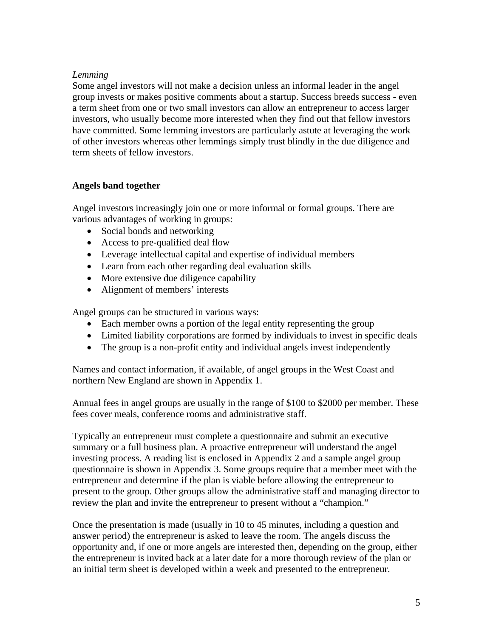# *Lemming*

Some angel investors will not make a decision unless an informal leader in the angel group invests or makes positive comments about a startup. Success breeds success - even a term sheet from one or two small investors can allow an entrepreneur to access larger investors, who usually become more interested when they find out that fellow investors have committed. Some lemming investors are particularly astute at leveraging the work of other investors whereas other lemmings simply trust blindly in the due diligence and term sheets of fellow investors.

#### **Angels band together**

Angel investors increasingly join one or more informal or formal groups. There are various advantages of working in groups:

- Social bonds and networking
- Access to pre-qualified deal flow
- Leverage intellectual capital and expertise of individual members
- Learn from each other regarding deal evaluation skills
- More extensive due diligence capability
- Alignment of members' interests

Angel groups can be structured in various ways:

- Each member owns a portion of the legal entity representing the group
- Limited liability corporations are formed by individuals to invest in specific deals
- The group is a non-profit entity and individual angels invest independently

Names and contact information, if available, of angel groups in the West Coast and northern New England are shown in Appendix 1.

Annual fees in angel groups are usually in the range of \$100 to \$2000 per member. These fees cover meals, conference rooms and administrative staff.

Typically an entrepreneur must complete a questionnaire and submit an executive summary or a full business plan. A proactive entrepreneur will understand the angel investing process. A reading list is enclosed in Appendix 2 and a sample angel group questionnaire is shown in Appendix 3. Some groups require that a member meet with the entrepreneur and determine if the plan is viable before allowing the entrepreneur to present to the group. Other groups allow the administrative staff and managing director to review the plan and invite the entrepreneur to present without a "champion."

Once the presentation is made (usually in 10 to 45 minutes, including a question and answer period) the entrepreneur is asked to leave the room. The angels discuss the opportunity and, if one or more angels are interested then, depending on the group, either the entrepreneur is invited back at a later date for a more thorough review of the plan or an initial term sheet is developed within a week and presented to the entrepreneur.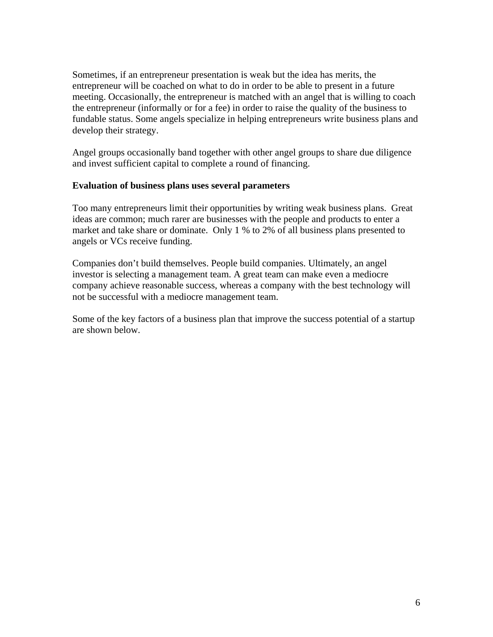Sometimes, if an entrepreneur presentation is weak but the idea has merits, the entrepreneur will be coached on what to do in order to be able to present in a future meeting. Occasionally, the entrepreneur is matched with an angel that is willing to coach the entrepreneur (informally or for a fee) in order to raise the quality of the business to fundable status. Some angels specialize in helping entrepreneurs write business plans and develop their strategy.

Angel groups occasionally band together with other angel groups to share due diligence and invest sufficient capital to complete a round of financing.

#### **Evaluation of business plans uses several parameters**

Too many entrepreneurs limit their opportunities by writing weak business plans. Great ideas are common; much rarer are businesses with the people and products to enter a market and take share or dominate. Only 1 % to 2% of all business plans presented to angels or VCs receive funding.

Companies don't build themselves. People build companies. Ultimately, an angel investor is selecting a management team. A great team can make even a mediocre company achieve reasonable success, whereas a company with the best technology will not be successful with a mediocre management team.

Some of the key factors of a business plan that improve the success potential of a startup are shown below.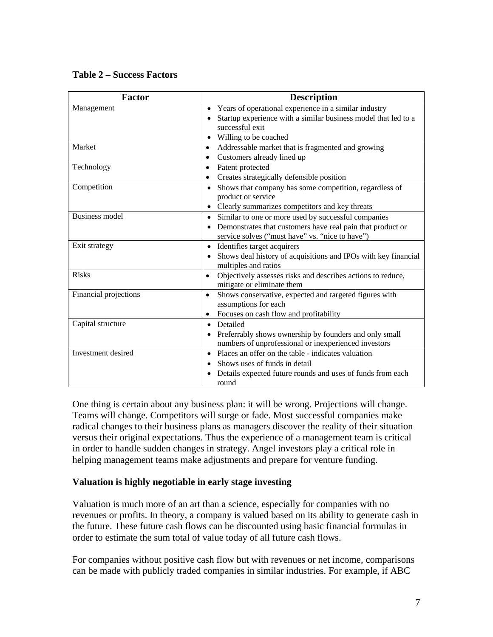# **Table 2 – Success Factors**

| <b>Factor</b>         | <b>Description</b>                                                          |
|-----------------------|-----------------------------------------------------------------------------|
| Management            | Years of operational experience in a similar industry<br>$\bullet$          |
|                       | Startup experience with a similar business model that led to a              |
|                       | successful exit                                                             |
|                       | Willing to be coached<br>$\bullet$                                          |
| Market                | Addressable market that is fragmented and growing<br>$\bullet$              |
|                       | Customers already lined up<br>$\bullet$                                     |
| Technology            | Patent protected<br>$\bullet$                                               |
|                       | Creates strategically defensible position<br>$\bullet$                      |
| Competition           | Shows that company has some competition, regardless of<br>$\bullet$         |
|                       | product or service                                                          |
|                       | Clearly summarizes competitors and key threats<br>$\bullet$                 |
| <b>Business model</b> | Similar to one or more used by successful companies<br>$\bullet$            |
|                       | Demonstrates that customers have real pain that product or<br>$\bullet$     |
|                       | service solves ("must have" vs. "nice to have")                             |
| Exit strategy         | Identifies target acquirers<br>$\bullet$                                    |
|                       | Shows deal history of acquisitions and IPOs with key financial<br>$\bullet$ |
|                       | multiples and ratios                                                        |
| <b>Risks</b>          | Objectively assesses risks and describes actions to reduce,<br>$\bullet$    |
|                       | mitigate or eliminate them                                                  |
| Financial projections | Shows conservative, expected and targeted figures with<br>$\bullet$         |
|                       | assumptions for each                                                        |
|                       | Focuses on cash flow and profitability<br>$\bullet$                         |
| Capital structure     | Detailed<br>$\bullet$                                                       |
|                       | Preferrably shows ownership by founders and only small<br>$\bullet$         |
|                       | numbers of unprofessional or inexperienced investors                        |
| Investment desired    | Places an offer on the table - indicates valuation<br>$\bullet$             |
|                       | Shows uses of funds in detail<br>$\bullet$                                  |
|                       | Details expected future rounds and uses of funds from each<br>$\bullet$     |
|                       | round                                                                       |

One thing is certain about any business plan: it will be wrong. Projections will change. Teams will change. Competitors will surge or fade. Most successful companies make radical changes to their business plans as managers discover the reality of their situation versus their original expectations. Thus the experience of a management team is critical in order to handle sudden changes in strategy. Angel investors play a critical role in helping management teams make adjustments and prepare for venture funding.

# **Valuation is highly negotiable in early stage investing**

Valuation is much more of an art than a science, especially for companies with no revenues or profits. In theory, a company is valued based on its ability to generate cash in the future. These future cash flows can be discounted using basic financial formulas in order to estimate the sum total of value today of all future cash flows.

For companies without positive cash flow but with revenues or net income, comparisons can be made with publicly traded companies in similar industries. For example, if ABC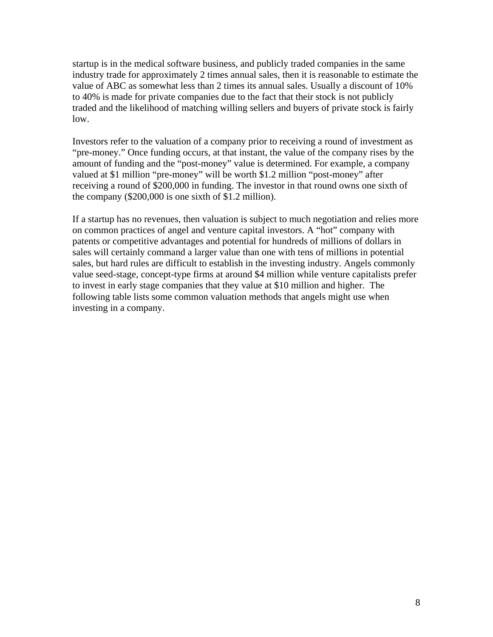startup is in the medical software business, and publicly traded companies in the same industry trade for approximately 2 times annual sales, then it is reasonable to estimate the value of ABC as somewhat less than 2 times its annual sales. Usually a discount of 10% to 40% is made for private companies due to the fact that their stock is not publicly traded and the likelihood of matching willing sellers and buyers of private stock is fairly low.

Investors refer to the valuation of a company prior to receiving a round of investment as "pre-money." Once funding occurs, at that instant, the value of the company rises by the amount of funding and the "post-money" value is determined. For example, a company valued at \$1 million "pre-money" will be worth \$1.2 million "post-money" after receiving a round of \$200,000 in funding. The investor in that round owns one sixth of the company (\$200,000 is one sixth of \$1.2 million).

If a startup has no revenues, then valuation is subject to much negotiation and relies more on common practices of angel and venture capital investors. A "hot" company with patents or competitive advantages and potential for hundreds of millions of dollars in sales will certainly command a larger value than one with tens of millions in potential sales, but hard rules are difficult to establish in the investing industry. Angels commonly value seed-stage, concept-type firms at around \$4 million while venture capitalists prefer to invest in early stage companies that they value at \$10 million and higher. The following table lists some common valuation methods that angels might use when investing in a company.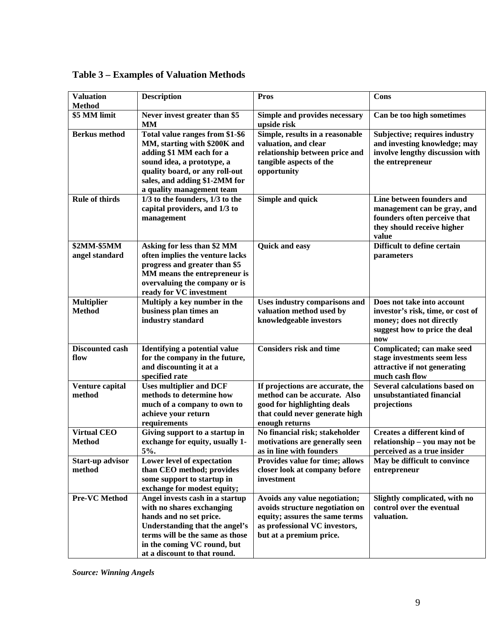| <b>Valuation</b><br><b>Method</b>   | <b>Description</b>                                                                                                                                                                                                          | <b>Pros</b>                                                                                                                                                    | Cons                                                                                                                                |
|-------------------------------------|-----------------------------------------------------------------------------------------------------------------------------------------------------------------------------------------------------------------------------|----------------------------------------------------------------------------------------------------------------------------------------------------------------|-------------------------------------------------------------------------------------------------------------------------------------|
| \$5 MM limit                        | Never invest greater than \$5<br><b>MM</b>                                                                                                                                                                                  | Simple and provides necessary<br>upside risk                                                                                                                   | Can be too high sometimes                                                                                                           |
| <b>Berkus</b> method                | Total value ranges from \$1-\$6<br>MM, starting with \$200K and<br>adding \$1 MM each for a<br>sound idea, a prototype, a<br>quality board, or any roll-out<br>sales, and adding \$1-2MM for<br>a quality management team   | Simple, results in a reasonable<br>valuation, and clear<br>relationship between price and<br>tangible aspects of the<br>opportunity                            | Subjective; requires industry<br>and investing knowledge; may<br>involve lengthy discussion with<br>the entrepreneur                |
| <b>Rule of thirds</b>               | 1/3 to the founders, 1/3 to the<br>capital providers, and 1/3 to<br>management                                                                                                                                              | <b>Simple and quick</b>                                                                                                                                        | Line between founders and<br>management can be gray, and<br>founders often perceive that<br>they should receive higher<br>value     |
| \$2MM-\$5MM<br>angel standard       | Asking for less than \$2 MM<br>often implies the venture lacks<br>progress and greater than \$5<br>MM means the entrepreneur is<br>overvaluing the company or is<br>ready for VC investment                                 | Quick and easy                                                                                                                                                 | Difficult to define certain<br>parameters                                                                                           |
| <b>Multiplier</b><br><b>Method</b>  | Multiply a key number in the<br>business plan times an<br>industry standard                                                                                                                                                 | Uses industry comparisons and<br>valuation method used by<br>knowledgeable investors                                                                           | Does not take into account<br>investor's risk, time, or cost of<br>money; does not directly<br>suggest how to price the deal<br>now |
| <b>Discounted cash</b><br>flow      | <b>Identifying a potential value</b><br>for the company in the future,<br>and discounting it at a<br>specified rate                                                                                                         | <b>Considers risk and time</b>                                                                                                                                 | Complicated; can make seed<br>stage investments seem less<br>attractive if not generating<br>much cash flow                         |
| Venture capital<br>method           | <b>Uses multiplier and DCF</b><br>methods to determine how<br>much of a company to own to<br>achieve your return<br>requirements                                                                                            | If projections are accurate, the<br>method can be accurate. Also<br>good for highlighting deals<br>that could never generate high<br>enough returns            | <b>Several calculations based on</b><br>unsubstantiated financial<br>projections                                                    |
| <b>Virtual CEO</b><br><b>Method</b> | Giving support to a startup in<br>exchange for equity, usually 1-<br>5%.                                                                                                                                                    | No financial risk; stakeholder<br>motivations are generally seen<br>as in line with founders                                                                   | <b>Creates a different kind of</b><br>relationship - you may not be<br>perceived as a true insider                                  |
| <b>Start-up advisor</b><br>method   | Lower level of expectation<br>than CEO method; provides<br>some support to startup in<br>exchange for modest equity;                                                                                                        | Provides value for time; allows<br>closer look at company before<br>investment                                                                                 | May be difficult to convince<br>entrepreneur                                                                                        |
| <b>Pre-VC Method</b>                | Angel invests cash in a startup<br>with no shares exchanging<br>hands and no set price.<br>Understanding that the angel's<br>terms will be the same as those<br>in the coming VC round, but<br>at a discount to that round. | Avoids any value negotiation;<br>avoids structure negotiation on<br>equity; assures the same terms<br>as professional VC investors,<br>but at a premium price. | Slightly complicated, with no<br>control over the eventual<br>valuation.                                                            |

**Table 3 – Examples of Valuation Methods** 

*Source: Winning Angels*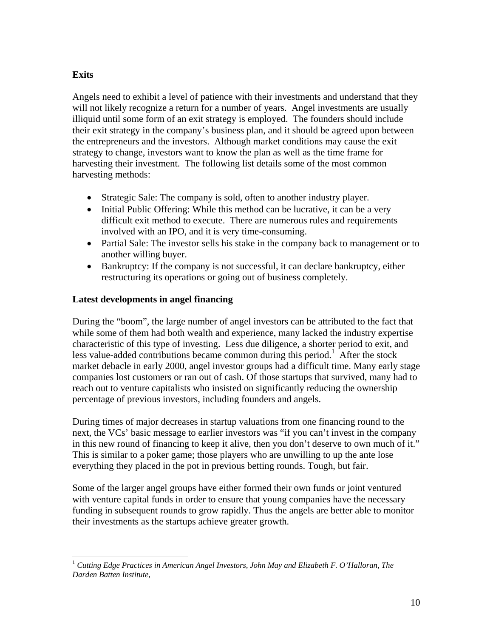# **Exits**

Angels need to exhibit a level of patience with their investments and understand that they will not likely recognize a return for a number of years. Angel investments are usually illiquid until some form of an exit strategy is employed. The founders should include their exit strategy in the company's business plan, and it should be agreed upon between the entrepreneurs and the investors. Although market conditions may cause the exit strategy to change, investors want to know the plan as well as the time frame for harvesting their investment. The following list details some of the most common harvesting methods:

- Strategic Sale: The company is sold, often to another industry player.
- Initial Public Offering: While this method can be lucrative, it can be a very difficult exit method to execute. There are numerous rules and requirements involved with an IPO, and it is very time-consuming.
- Partial Sale: The investor sells his stake in the company back to management or to another willing buyer.
- Bankruptcy: If the company is not successful, it can declare bankruptcy, either restructuring its operations or going out of business completely.

# **Latest developments in angel financing**

During the "boom", the large number of angel investors can be attributed to the fact that while some of them had both wealth and experience, many lacked the industry expertise characteristic of this type of investing. Less due diligence, a shorter period to exit, and less value-added contributions became common during this period.<sup>[1](#page-9-0)</sup> After the stock market debacle in early 2000, angel investor groups had a difficult time. Many early stage companies lost customers or ran out of cash. Of those startups that survived, many had to reach out to venture capitalists who insisted on significantly reducing the ownership percentage of previous investors, including founders and angels.

During times of major decreases in startup valuations from one financing round to the next, the VCs' basic message to earlier investors was "if you can't invest in the company in this new round of financing to keep it alive, then you don't deserve to own much of it." This is similar to a poker game; those players who are unwilling to up the ante lose everything they placed in the pot in previous betting rounds. Tough, but fair.

Some of the larger angel groups have either formed their own funds or joint ventured with venture capital funds in order to ensure that young companies have the necessary funding in subsequent rounds to grow rapidly. Thus the angels are better able to monitor their investments as the startups achieve greater growth.

<span id="page-9-0"></span> $\overline{a}$ <sup>1</sup> *Cutting Edge Practices in American Angel Investors, John May and Elizabeth F. O'Halloran, The Darden Batten Institute,*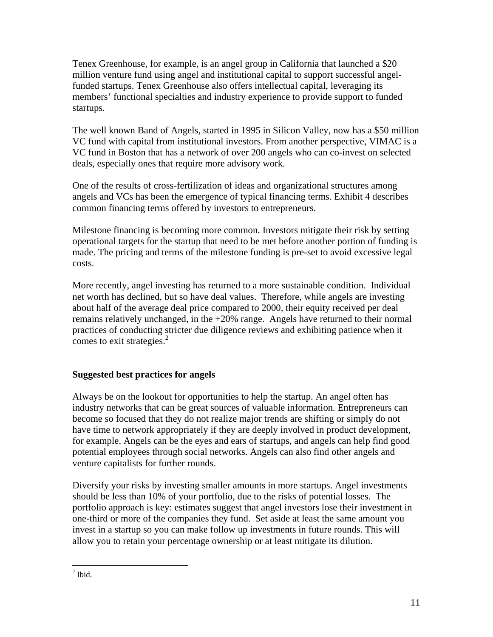Tenex Greenhouse, for example, is an angel group in California that launched a \$20 million venture fund using angel and institutional capital to support successful angelfunded startups. Tenex Greenhouse also offers intellectual capital, leveraging its members' functional specialties and industry experience to provide support to funded startups.

The well known Band of Angels, started in 1995 in Silicon Valley, now has a \$50 million VC fund with capital from institutional investors. From another perspective, VIMAC is a VC fund in Boston that has a network of over 200 angels who can co-invest on selected deals, especially ones that require more advisory work.

One of the results of cross-fertilization of ideas and organizational structures among angels and VCs has been the emergence of typical financing terms. Exhibit 4 describes common financing terms offered by investors to entrepreneurs.

Milestone financing is becoming more common. Investors mitigate their risk by setting operational targets for the startup that need to be met before another portion of funding is made. The pricing and terms of the milestone funding is pre-set to avoid excessive legal costs.

More recently, angel investing has returned to a more sustainable condition. Individual net worth has declined, but so have deal values. Therefore, while angels are investing about half of the average deal price compared to 2000, their equity received per deal remains relatively unchanged, in the +20% range. Angels have returned to their normal practices of conducting stricter due diligence reviews and exhibiting patience when it comes to exit strategies.<sup>[2](#page-10-0)</sup>

# **Suggested best practices for angels**

Always be on the lookout for opportunities to help the startup. An angel often has industry networks that can be great sources of valuable information. Entrepreneurs can become so focused that they do not realize major trends are shifting or simply do not have time to network appropriately if they are deeply involved in product development, for example. Angels can be the eyes and ears of startups, and angels can help find good potential employees through social networks. Angels can also find other angels and venture capitalists for further rounds.

Diversify your risks by investing smaller amounts in more startups. Angel investments should be less than 10% of your portfolio, due to the risks of potential losses. The portfolio approach is key: estimates suggest that angel investors lose their investment in one-third or more of the companies they fund. Set aside at least the same amount you invest in a startup so you can make follow up investments in future rounds. This will allow you to retain your percentage ownership or at least mitigate its dilution.

<span id="page-10-0"></span> $\frac{1}{2}$  Ibid.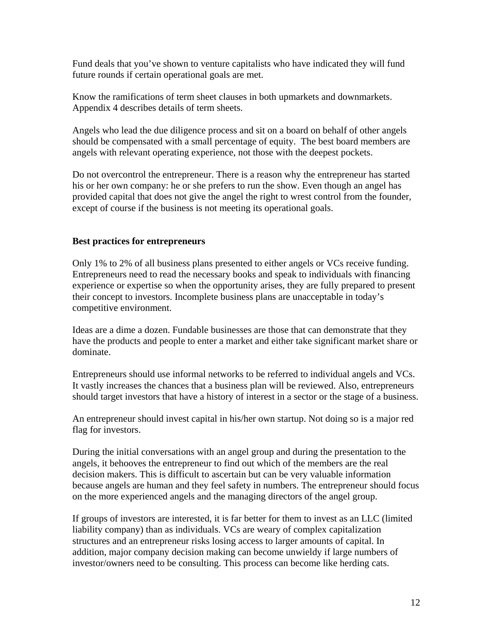Fund deals that you've shown to venture capitalists who have indicated they will fund future rounds if certain operational goals are met.

Know the ramifications of term sheet clauses in both upmarkets and downmarkets. Appendix 4 describes details of term sheets.

Angels who lead the due diligence process and sit on a board on behalf of other angels should be compensated with a small percentage of equity. The best board members are angels with relevant operating experience, not those with the deepest pockets.

Do not overcontrol the entrepreneur. There is a reason why the entrepreneur has started his or her own company: he or she prefers to run the show. Even though an angel has provided capital that does not give the angel the right to wrest control from the founder, except of course if the business is not meeting its operational goals.

#### **Best practices for entrepreneurs**

Only 1% to 2% of all business plans presented to either angels or VCs receive funding. Entrepreneurs need to read the necessary books and speak to individuals with financing experience or expertise so when the opportunity arises, they are fully prepared to present their concept to investors. Incomplete business plans are unacceptable in today's competitive environment.

Ideas are a dime a dozen. Fundable businesses are those that can demonstrate that they have the products and people to enter a market and either take significant market share or dominate.

Entrepreneurs should use informal networks to be referred to individual angels and VCs. It vastly increases the chances that a business plan will be reviewed. Also, entrepreneurs should target investors that have a history of interest in a sector or the stage of a business.

An entrepreneur should invest capital in his/her own startup. Not doing so is a major red flag for investors.

During the initial conversations with an angel group and during the presentation to the angels, it behooves the entrepreneur to find out which of the members are the real decision makers. This is difficult to ascertain but can be very valuable information because angels are human and they feel safety in numbers. The entrepreneur should focus on the more experienced angels and the managing directors of the angel group.

If groups of investors are interested, it is far better for them to invest as an LLC (limited liability company) than as individuals. VCs are weary of complex capitalization structures and an entrepreneur risks losing access to larger amounts of capital. In addition, major company decision making can become unwieldy if large numbers of investor/owners need to be consulting. This process can become like herding cats.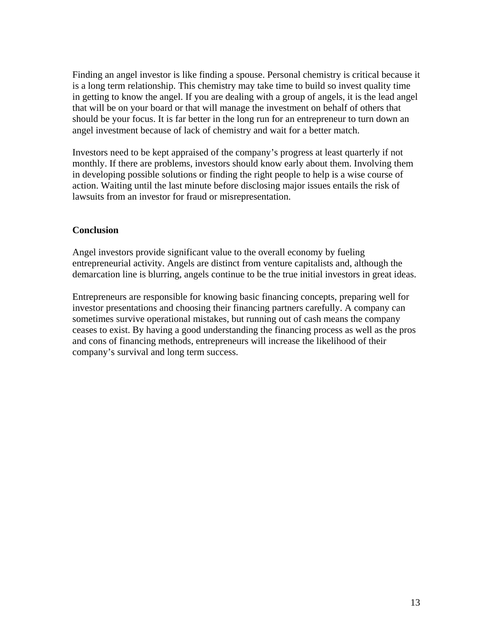Finding an angel investor is like finding a spouse. Personal chemistry is critical because it is a long term relationship. This chemistry may take time to build so invest quality time in getting to know the angel. If you are dealing with a group of angels, it is the lead angel that will be on your board or that will manage the investment on behalf of others that should be your focus. It is far better in the long run for an entrepreneur to turn down an angel investment because of lack of chemistry and wait for a better match.

Investors need to be kept appraised of the company's progress at least quarterly if not monthly. If there are problems, investors should know early about them. Involving them in developing possible solutions or finding the right people to help is a wise course of action. Waiting until the last minute before disclosing major issues entails the risk of lawsuits from an investor for fraud or misrepresentation.

#### **Conclusion**

Angel investors provide significant value to the overall economy by fueling entrepreneurial activity. Angels are distinct from venture capitalists and, although the demarcation line is blurring, angels continue to be the true initial investors in great ideas.

Entrepreneurs are responsible for knowing basic financing concepts, preparing well for investor presentations and choosing their financing partners carefully. A company can sometimes survive operational mistakes, but running out of cash means the company ceases to exist. By having a good understanding the financing process as well as the pros and cons of financing methods, entrepreneurs will increase the likelihood of their company's survival and long term success.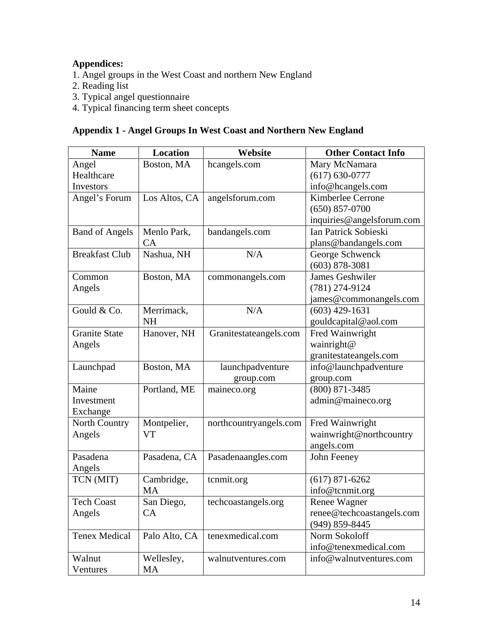# **Appendices:**

- 1. Angel groups in the West Coast and northern New England
- 2. Reading list
- 3. Typical angel questionnaire
- 4. Typical financing term sheet concepts

# **Appendix 1 - Angel Groups In West Coast and Northern New England**

| <b>Name</b>           | <b>Location</b> | Website                | <b>Other Contact Info</b> |
|-----------------------|-----------------|------------------------|---------------------------|
| Angel                 | Boston, MA      | hcangels.com           | Mary McNamara             |
| Healthcare            |                 |                        | $(617) 630 - 0777$        |
| Investors             |                 |                        | info@hcangels.com         |
| Angel's Forum         | Los Altos, CA   | angelsforum.com        | Kimberlee Cerrone         |
|                       |                 |                        | $(650) 857 - 0700$        |
|                       |                 |                        | inquiries@angelsforum.com |
| <b>Band of Angels</b> | Menlo Park,     | bandangels.com         | Ian Patrick Sobieski      |
|                       | CA              |                        | plans@bandangels.com      |
| <b>Breakfast Club</b> | Nashua, NH      | N/A                    | George Schwenck           |
|                       |                 |                        | $(603) 878 - 3081$        |
| Common                | Boston, MA      | commonangels.com       | <b>James Geshwiler</b>    |
| Angels                |                 |                        | (781) 274-9124            |
|                       |                 |                        | james@commonangels.com    |
| Gould & Co.           | Merrimack,      | N/A                    | $(603)$ 429-1631          |
|                       | <b>NH</b>       |                        | gouldcapital@aol.com      |
| <b>Granite State</b>  | Hanover, NH     | Granitestateangels.com | Fred Wainwright           |
| Angels                |                 |                        | wainright@                |
|                       |                 |                        | granitestateangels.com    |
| Launchpad             | Boston, MA      | launchpadventure       | info@launchpadventure     |
|                       |                 | group.com              | group.com                 |
| Maine                 | Portland, ME    | maineco.org            | $(800) 871 - 3485$        |
| Investment            |                 |                        | admin@maineco.org         |
| Exchange              |                 |                        |                           |
| North Country         | Montpelier,     | northcountryangels.com | Fred Wainwright           |
| Angels                | <b>VT</b>       |                        | wainwright@northcountry   |
|                       |                 |                        | angels.com                |
| Pasadena              | Pasadena, CA    | Pasadenaangles.com     | John Feeney               |
| Angels                |                 |                        |                           |
| TCN (MIT)             | Cambridge,      | tcnmit.org             | $(617) 871 - 6262$        |
|                       | <b>MA</b>       |                        | info@tcnmit.org           |
| <b>Tech Coast</b>     | San Diego,      | techcoastangels.org    | Renee Wagner              |
| Angels                | CA              |                        | renee@techcoastangels.com |
|                       |                 |                        | $(949)$ 859-8445          |
| <b>Tenex Medical</b>  | Palo Alto, CA   | tenexmedical.com       | Norm Sokoloff             |
|                       |                 |                        | info@tenexmedical.com     |
| Walnut                | Wellesley,      | walnutventures.com     | info@walnutventures.com   |
| Ventures              | MA              |                        |                           |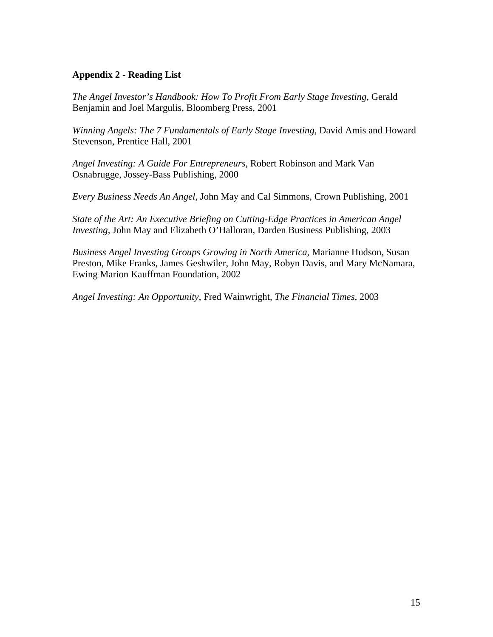### **Appendix 2 - Reading List**

*The Angel Investor's Handbook: How To Profit From Early Stage Investing,* Gerald Benjamin and Joel Margulis, Bloomberg Press, 2001

*Winning Angels: The 7 Fundamentals of Early Stage Investing, David Amis and Howard* Stevenson, Prentice Hall, 2001

*Angel Investing: A Guide For Entrepreneurs,* Robert Robinson and Mark Van Osnabrugge, Jossey-Bass Publishing, 2000

*Every Business Needs An Angel,* John May and Cal Simmons, Crown Publishing, 2001

*State of the Art: An Executive Briefing on Cutting-Edge Practices in American Angel Investing,* John May and Elizabeth O'Halloran, Darden Business Publishing, 2003

*Business Angel Investing Groups Growing in North America,* Marianne Hudson, Susan Preston, Mike Franks, James Geshwiler, John May, Robyn Davis, and Mary McNamara, Ewing Marion Kauffman Foundation, 2002

*Angel Investing: An Opportunity*, Fred Wainwright, *The Financial Times,* 2003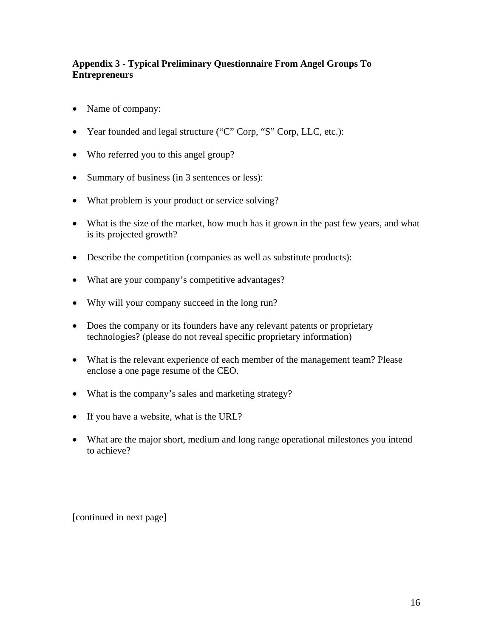# **Appendix 3 - Typical Preliminary Questionnaire From Angel Groups To Entrepreneurs**

- Name of company:
- Year founded and legal structure ("C" Corp, "S" Corp, LLC, etc.):
- Who referred you to this angel group?
- Summary of business (in 3 sentences or less):
- What problem is your product or service solving?
- What is the size of the market, how much has it grown in the past few years, and what is its projected growth?
- Describe the competition (companies as well as substitute products):
- What are your company's competitive advantages?
- Why will your company succeed in the long run?
- Does the company or its founders have any relevant patents or proprietary technologies? (please do not reveal specific proprietary information)
- What is the relevant experience of each member of the management team? Please enclose a one page resume of the CEO.
- What is the company's sales and marketing strategy?
- If you have a website, what is the URL?
- What are the major short, medium and long range operational milestones you intend to achieve?

[continued in next page]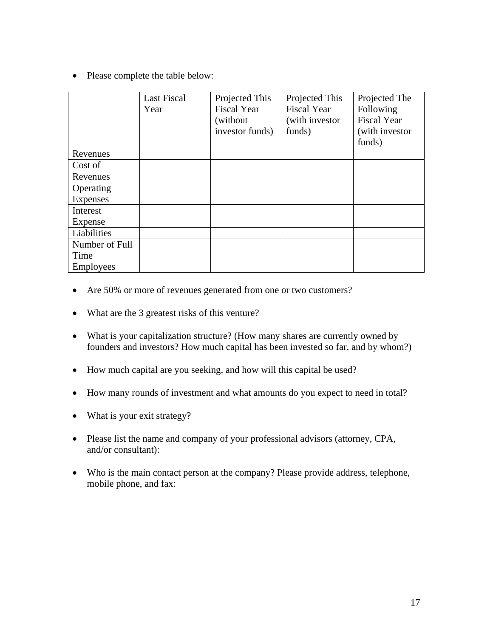• Please complete the table below:

|                  | <b>Last Fiscal</b><br>Year | Projected This<br><b>Fiscal Year</b><br>(without)<br>investor funds) | Projected This<br><b>Fiscal Year</b><br>(with investor)<br>funds) | Projected The<br>Following<br><b>Fiscal Year</b><br>(with investor)<br>funds) |
|------------------|----------------------------|----------------------------------------------------------------------|-------------------------------------------------------------------|-------------------------------------------------------------------------------|
| Revenues         |                            |                                                                      |                                                                   |                                                                               |
| Cost of          |                            |                                                                      |                                                                   |                                                                               |
| Revenues         |                            |                                                                      |                                                                   |                                                                               |
| Operating        |                            |                                                                      |                                                                   |                                                                               |
| Expenses         |                            |                                                                      |                                                                   |                                                                               |
| Interest         |                            |                                                                      |                                                                   |                                                                               |
| Expense          |                            |                                                                      |                                                                   |                                                                               |
| Liabilities      |                            |                                                                      |                                                                   |                                                                               |
| Number of Full   |                            |                                                                      |                                                                   |                                                                               |
| Time             |                            |                                                                      |                                                                   |                                                                               |
| <b>Employees</b> |                            |                                                                      |                                                                   |                                                                               |

- Are 50% or more of revenues generated from one or two customers?
- What are the 3 greatest risks of this venture?
- What is your capitalization structure? (How many shares are currently owned by founders and investors? How much capital has been invested so far, and by whom?)
- How much capital are you seeking, and how will this capital be used?
- How many rounds of investment and what amounts do you expect to need in total?
- What is your exit strategy?
- Please list the name and company of your professional advisors (attorney, CPA, and/or consultant):
- Who is the main contact person at the company? Please provide address, telephone, mobile phone, and fax: